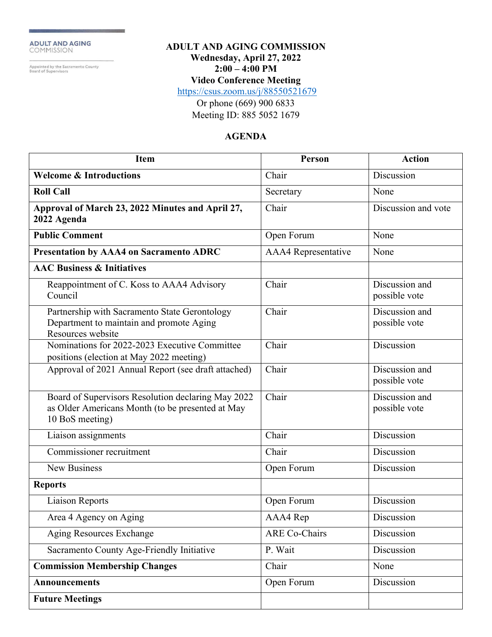ADULT AND AGING<br>COMMISSION

Appointed by the Sacramento County<br>Board of Supervisors

#### **ADULT AND AGING COMMISSION Wednesday, April 27, 2022 2:00 – 4:00 PM**

**Video Conference Meeting**

<https://csus.zoom.us/j/88550521679>

Or phone (669) 900 6833 Meeting ID: 885 5052 1679

#### **AGENDA**

| <b>Item</b>                                                                                                               | Person                     | <b>Action</b>                   |
|---------------------------------------------------------------------------------------------------------------------------|----------------------------|---------------------------------|
| <b>Welcome &amp; Introductions</b>                                                                                        | Chair                      | Discussion                      |
| <b>Roll Call</b>                                                                                                          | Secretary                  | None                            |
| Approval of March 23, 2022 Minutes and April 27,<br>2022 Agenda                                                           | Chair                      | Discussion and vote             |
| <b>Public Comment</b>                                                                                                     | Open Forum                 | None                            |
| Presentation by AAA4 on Sacramento ADRC                                                                                   | <b>AAA4</b> Representative | None                            |
| <b>AAC Business &amp; Initiatives</b>                                                                                     |                            |                                 |
| Reappointment of C. Koss to AAA4 Advisory<br>Council                                                                      | Chair                      | Discussion and<br>possible vote |
| Partnership with Sacramento State Gerontology<br>Department to maintain and promote Aging<br>Resources website            | Chair                      | Discussion and<br>possible vote |
| Nominations for 2022-2023 Executive Committee<br>positions (election at May 2022 meeting)                                 | Chair                      | Discussion                      |
| Approval of 2021 Annual Report (see draft attached)                                                                       | Chair                      | Discussion and<br>possible vote |
| Board of Supervisors Resolution declaring May 2022<br>as Older Americans Month (to be presented at May<br>10 BoS meeting) | Chair                      | Discussion and<br>possible vote |
| Liaison assignments                                                                                                       | Chair                      | Discussion                      |
| Commissioner recruitment                                                                                                  | Chair                      | Discussion                      |
| <b>New Business</b>                                                                                                       | Open Forum                 | Discussion                      |
| <b>Reports</b>                                                                                                            |                            |                                 |
| <b>Liaison Reports</b>                                                                                                    | Open Forum                 | Discussion                      |
| Area 4 Agency on Aging                                                                                                    | AAA4 Rep                   | Discussion                      |
| Aging Resources Exchange                                                                                                  | <b>ARE Co-Chairs</b>       | Discussion                      |
| Sacramento County Age-Friendly Initiative                                                                                 | P. Wait                    | Discussion                      |
| <b>Commission Membership Changes</b>                                                                                      | Chair                      | None                            |
| <b>Announcements</b>                                                                                                      | Open Forum                 | Discussion                      |
| <b>Future Meetings</b>                                                                                                    |                            |                                 |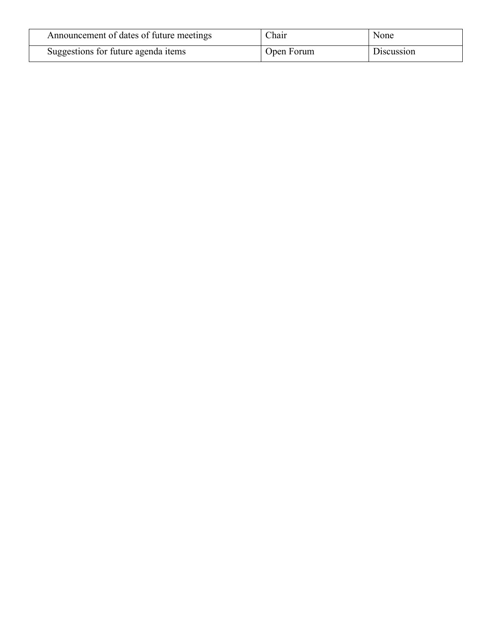| Announcement of dates of future meetings | Chair      | None       |
|------------------------------------------|------------|------------|
| Suggestions for future agenda items      | Open Forum | Discussion |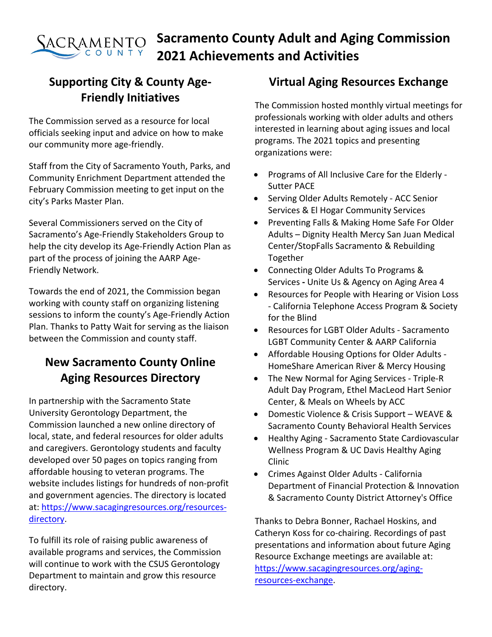#### **Sacramento County Adult and Aging Commission** SACRAMENTO **2021 Achievements and Activities**

# **Supporting City & County Age-Friendly Initiatives**

The Commission served as a resource for local officials seeking input and advice on how to make our community more age-friendly.

Staff from the City of Sacramento Youth, Parks, and Community Enrichment Department attended the February Commission meeting to get input on the city's Parks Master Plan.

Several Commissioners served on the City of Sacramento's Age-Friendly Stakeholders Group to help the city develop its Age-Friendly Action Plan as part of the process of joining the AARP Age-Friendly Network.

Towards the end of 2021, the Commission began working with county staff on organizing listening sessions to inform the county's Age-Friendly Action Plan. Thanks to Patty Wait for serving as the liaison between the Commission and county staff.

# **New Sacramento County Online Aging Resources Directory**

In partnership with the Sacramento State University Gerontology Department, the Commission launched a new online directory of local, state, and federal resources for older adults and caregivers. Gerontology students and faculty developed over 50 pages on topics ranging from affordable housing to veteran programs. The website includes listings for hundreds of non-profit and government agencies. The directory is located at: [https://www.sacagingresources.org/resources](https://www.sacagingresources.org/resources-directory)[directory.](https://www.sacagingresources.org/resources-directory)

To fulfill its role of raising public awareness of available programs and services, the Commission will continue to work with the CSUS Gerontology Department to maintain and grow this resource directory.

## **Virtual Aging Resources Exchange**

The Commission hosted monthly virtual meetings for professionals working with older adults and others interested in learning about aging issues and local programs. The 2021 topics and presenting organizations were:

- Programs of All Inclusive Care for the Elderly Sutter PACE
- Serving Older Adults Remotely ACC Senior Services & El Hogar Community Services
- Preventing Falls & Making Home Safe For Older Adults – Dignity Health Mercy San Juan Medical Center/StopFalls Sacramento & Rebuilding Together
- Connecting Older Adults To Programs & Services **-** Unite Us & Agency on Aging Area 4
- Resources for People with Hearing or Vision Loss - California Telephone Access Program & Society for the Blind
- Resources for LGBT Older Adults Sacramento LGBT Community Center & AARP California
- Affordable Housing Options for Older Adults HomeShare American River & Mercy Housing
- The New Normal for Aging Services Triple-R Adult Day Program, Ethel MacLeod Hart Senior Center, & Meals on Wheels by ACC
- Domestic Violence & Crisis Support WEAVE & Sacramento County Behavioral Health Services
- Healthy Aging Sacramento State Cardiovascular Wellness Program & UC Davis Healthy Aging Clinic
- Crimes Against Older Adults California Department of Financial Protection & Innovation & Sacramento County District Attorney's Office

Thanks to Debra Bonner, Rachael Hoskins, and Catheryn Koss for co-chairing. Recordings of past presentations and information about future Aging Resource Exchange meetings are available at: [https://www.sacagingresources.org/aging](https://www.sacagingresources.org/aging-resources-exchange)[resources-exchange.](https://www.sacagingresources.org/aging-resources-exchange)